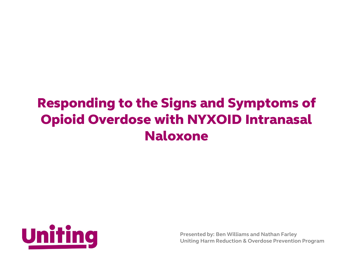# Responding to the Signs and Symptoms of Opioid Overdose with NYXOID Intranasal Naloxone



**Presented by: Ben Williams and Nathan Farley Uniting Harm Reduction & Overdose Prevention Program**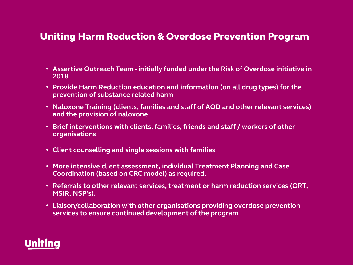### Uniting Harm Reduction & Overdose Prevention Program

- **Assertive Outreach Team - initially funded under the Risk of Overdose initiative in 2018**
- **Provide Harm Reduction education and information (on all drug types) for the prevention of substance related harm**
- **Naloxone Training (clients, families and staff of AOD and other relevant services) and the provision of naloxone**
- **Brief interventions with clients, families, friends and staff / workers of other organisations**
- **Client counselling and single sessions with families**
- **More intensive client assessment, individual Treatment Planning and Case Coordination (based on CRC model) as required,**
- **Referrals to other relevant services, treatment or harm reduction services (ORT, MSIR, NSP's).**
- **Liaison/collaboration with other organisations providing overdose prevention services to ensure continued development of the program**

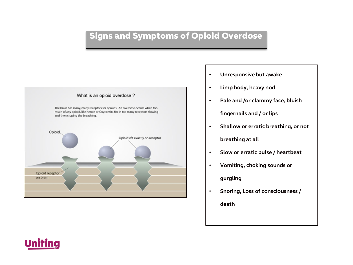## Signs and Symptoms of Opioid Overdose



- **Unresponsive but awake**
- **Limp body, heavy nod**
- **Pale and /or clammy face, bluish**

#### **fingernails and / or lips**

• **Shallow or erratic breathing, or not** 

#### **breathing at all**

- **Slow or erratic pulse / heartbeat**
- **Vomiting, choking sounds or**

#### **gurgling**

• **Snoring, Loss of consciousness /** 

**death**

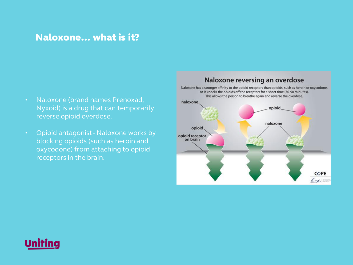## Naloxone… what is it?

- Naloxone (brand names Prenoxad, Nyxoid) is a drug that can temporarily reverse opioid overdose.
- Opioid antagonist Naloxone works by blocking opioids (such as heroin and oxycodone) from attaching to opioid receptors in the brain.

#### Naloxone reversing an overdose

Naloxone has a stronger affinity to the opioid receptors than opioids, such as heroin or oxycodone, so it knocks the opioids off the receptors for a short time (30-90 minutes). This allows the person to breathe again and reverse the overdose.



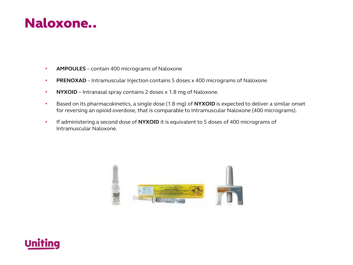## Naloxone..

- **AMPOULES** contain 400 micrograms of Naloxone
- **PRENOXAD** Intramuscular Injection contains 5 doses x 400 micrograms of Naloxone
- **NYXOID** Intranasal spray contains 2 doses x 1.8 mg of Naloxone.
- Based on its pharmacokinetics, a single dose (1.8 mg) of **NYXOID** is expected to deliver a similar onset for reversing an opioid overdose, that is comparable to Intramuscular Naloxone (400 micrograms).
- If administering a second dose of **NYXOID** it is equivalent to 5 doses of 400 micrograms of Intramuscular Naloxone.



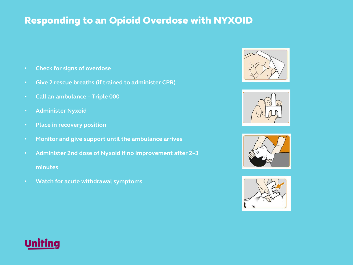## Responding to an Opioid Overdose with NYXOID

- **Check for signs of overdose**
- **Give 2 rescue breaths (if trained to administer CPR)**
- **Call an ambulance – Triple 000**
- **Administer Nyxoid**
- **Place in recovery position**
- **Monitor and give support until the ambulance arrives**
- **Administer 2nd dose of Nyxoid if no improvement after 2–3 minutes**
- **Watch for acute withdrawal symptoms**









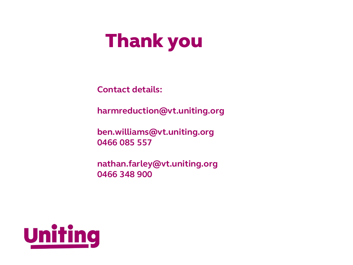# **Thank you**

**Contact details:**

**harmreduction@vt.uniting.org**

**ben.williams@vt.uniting.org 0466 085 557**

**nathan.farley@vt.uniting.org 0466 348 900**